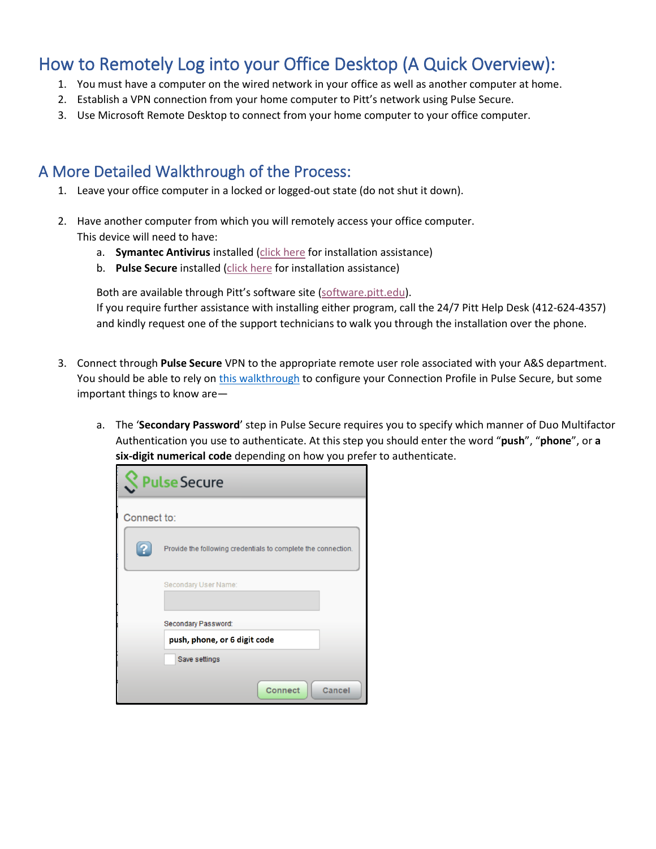## How to Remotely Log into your Office Desktop (A Quick Overview):

- 1. You must have a computer on the wired network in your office as well as another computer at home.
- 2. Establish a VPN connection from your home computer to Pitt's network using Pulse Secure.
- 3. Use Microsoft Remote Desktop to connect from your home computer to your office computer.

## A More Detailed Walkthrough of the Process:

- 1. Leave your office computer in a locked or logged-out state (do not shut it down).
- 2. Have another computer from which you will remotely access your office computer. This device will need to have:
	- a. **Symantec Antivirus** installed [\(click](https://www.technology.pitt.edu/software/antivirus-symantec-endpoint-and-anti-malware-malwarebytes-protection) here for installation assistance)
	- b. **Pulse Secure** installed [\(click here](https://www.technology.pitt.edu/help-desk/how-to-documents/pittnet-vpn-pulse-secure-connect-pulse-secure-client) for installation assistance)

Both are available through Pitt's software site [\(software.pitt.edu\)](https://www.technology.pitt.edu/services/software-download-service-my-pitt).

If you require further assistance with installing either program, call the 24/7 Pitt Help Desk (412-624-4357) and kindly request one of the support technicians to walk you through the installation over the phone.

- 3. Connect through **Pulse Secure** VPN to the appropriate remote user role associated with your A&S department. You should be able to rely o[n this walkthrough](https://www.technology.pitt.edu/help-desk/how-to-documents/pittnet-vpn-pulse-secure-connect-pulse-secure-client) to configure your Connection Profile in Pulse Secure, but some important things to know are
	- a. The '**Secondary Password**' step in Pulse Secure requires you to specify which manner of Duo Multifactor Authentication you use to authenticate. At this step you should enter the word "**push**", "**phone**", or **a six-digit numerical code** depending on how you prefer to authenticate.

|             | <b>Pulse Secure</b>                                           |
|-------------|---------------------------------------------------------------|
| Connect to: |                                                               |
|             | Provide the following credentials to complete the connection. |
|             | Secondary User Name:                                          |
|             | Secondary Password:                                           |
|             | push, phone, or 6 digit code                                  |
|             | Save settings                                                 |
|             | <b>Connect</b><br>Cancel                                      |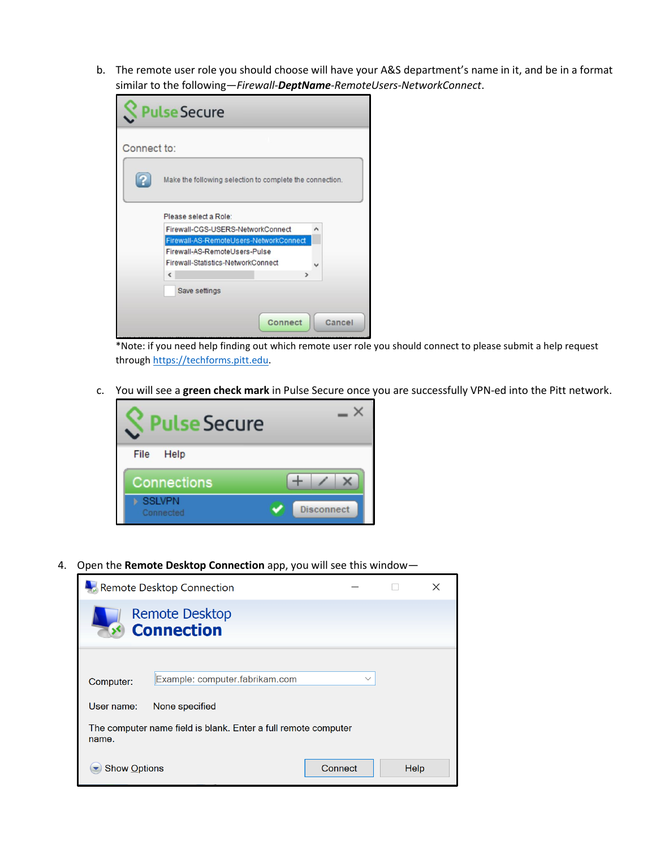b. The remote user role you should choose will have your A&S department's name in it, and be in a format similar to the following—*Firewall-DeptName-RemoteUsers-NetworkConnect*.

| <b>Pulse Secure</b> |                                                                                   |  |  |  |
|---------------------|-----------------------------------------------------------------------------------|--|--|--|
| Connect to:         |                                                                                   |  |  |  |
|                     | Make the following selection to complete the connection.<br>Please select a Role: |  |  |  |
|                     | Firewall-CGS-USERS-NetworkConnect<br>^                                            |  |  |  |
|                     | Firewall-AS-RemoteUsers-NetworkConnect                                            |  |  |  |
|                     | Firewall-AS-RemoteUsers-Pulse                                                     |  |  |  |
|                     | Firewall-Statistics-NetworkConnect<br>$\epsilon$<br>э                             |  |  |  |
|                     | Save settings                                                                     |  |  |  |
|                     | Connect<br>Cancel                                                                 |  |  |  |

\*Note: if you need help finding out which remote user role you should connect to please submit a help request through [https://techforms.pitt.edu.](https://techforms.pitt.edu/)

c. You will see a **green check mark** in Pulse Secure once you are successfully VPN-ed into the Pitt network.



4. Open the **Remote Desktop Connection** app, you will see this window—

| Remote Desktop Connection                                               |                                                |      | × |  |  |
|-------------------------------------------------------------------------|------------------------------------------------|------|---|--|--|
| <b>Remote Desktop</b><br><b>Connection</b>                              |                                                |      |   |  |  |
| Computer:                                                               | Example: computer.fabrikam.com<br>$\checkmark$ |      |   |  |  |
| User name:                                                              | None specified                                 |      |   |  |  |
| The computer name field is blank. Enter a full remote computer<br>name. |                                                |      |   |  |  |
| <b>Show Options</b>                                                     | Connect                                        | Help |   |  |  |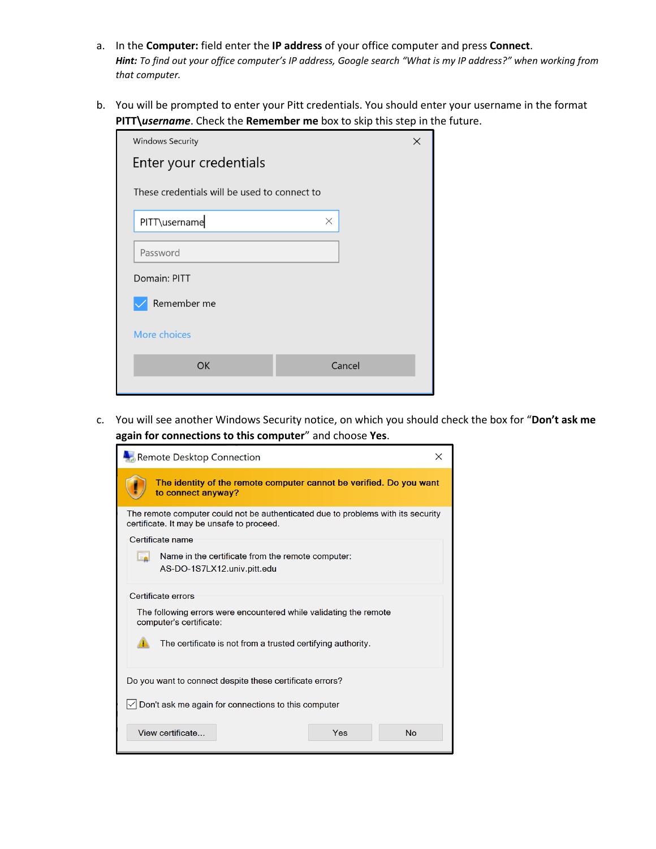- a. In the **Computer:** field enter the **IP address** of your office computer and press **Connect**. *Hint: To find out your office computer's IP address, Google search "What is my IP address?" when working from that computer.*
- b. You will be prompted to enter your Pitt credentials. You should enter your username in the format **PITT\***username*. Check the **Remember me** box to skip this step in the future.

| <b>Windows Security</b>                      |          |  |  |  |  |
|----------------------------------------------|----------|--|--|--|--|
| Enter your credentials                       |          |  |  |  |  |
| These credentials will be used to connect to |          |  |  |  |  |
| PITT\username                                | $\times$ |  |  |  |  |
| Password                                     |          |  |  |  |  |
| Domain: PITT                                 |          |  |  |  |  |
| Remember me                                  |          |  |  |  |  |
| More choices                                 |          |  |  |  |  |
| <b>OK</b>                                    | Cancel   |  |  |  |  |

c. You will see another Windows Security notice, on which you should check the box for "**Don't ask me again for connections to this computer**" and choose **Yes**.

| Remote Desktop Connection                                                                                                     |  |  |  |  |
|-------------------------------------------------------------------------------------------------------------------------------|--|--|--|--|
| The identity of the remote computer cannot be verified. Do you want<br>to connect anyway?                                     |  |  |  |  |
| The remote computer could not be authenticated due to problems with its security<br>certificate. It may be unsafe to proceed. |  |  |  |  |
| Certificate name                                                                                                              |  |  |  |  |
| Name in the certificate from the remote computer:<br>Le<br>AS-DO-1S7LX12.univ.pitt.edu                                        |  |  |  |  |
| Certificate errors<br>The following errors were encountered while validating the remote                                       |  |  |  |  |
| computer's certificate:                                                                                                       |  |  |  |  |
| The certificate is not from a trusted certifying authority.                                                                   |  |  |  |  |
| Do you want to connect despite these certificate errors?                                                                      |  |  |  |  |
| Don't ask me again for connections to this computer                                                                           |  |  |  |  |
| View certificate<br>Yes<br><b>No</b>                                                                                          |  |  |  |  |